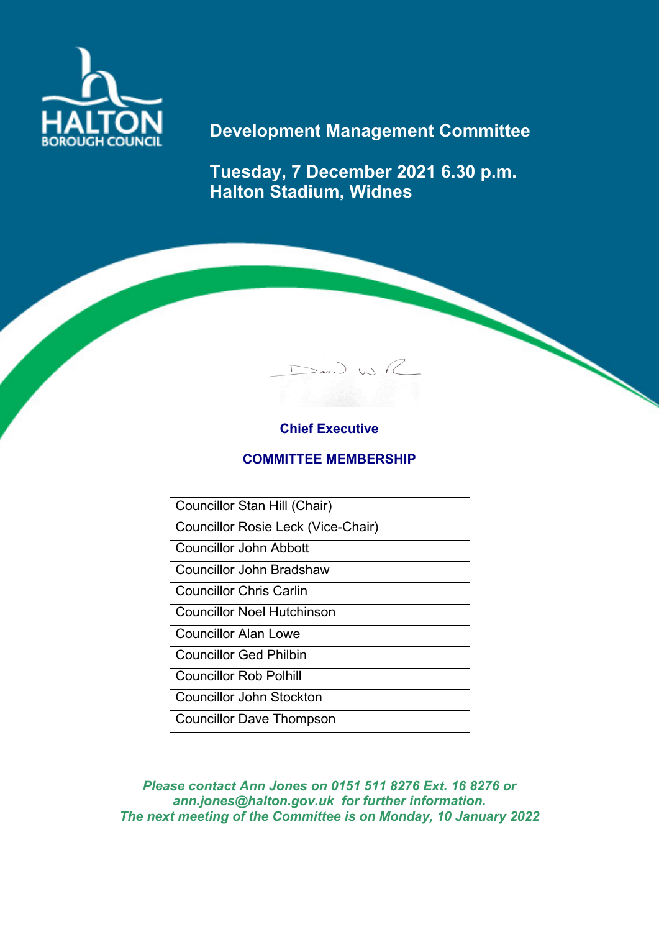

# **Development Management Committee**

**Tuesday, 7 December 2021 6.30 p.m. Halton Stadium, Widnes**

 $D$ av.) WR

## **Chief Executive**

### **COMMITTEE MEMBERSHIP**

Councillor Stan Hill (Chair)

Councillor Rosie Leck (Vice-Chair)

Councillor John Abbott

Councillor John Bradshaw

Councillor Chris Carlin

Councillor Noel Hutchinson

Councillor Alan Lowe

Councillor Ged Philbin

Councillor Rob Polhill

Councillor John Stockton

Councillor Dave Thompson

*Please contact Ann Jones on 0151 511 8276 Ext. 16 8276 or ann.jones@halton.gov.uk for further information. The next meeting of the Committee is on Monday, 10 January 2022*